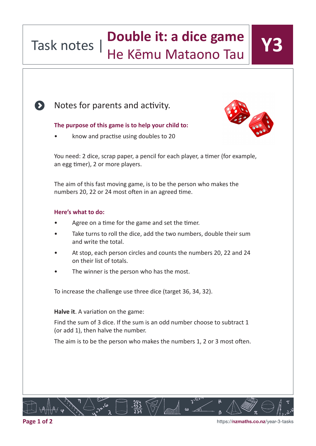### Task notes | **Double it: a dice game** He Kēmu Mataono Tau

Notes for parents and activity.

### $\mathcal{L}_{\mathcal{A}}$ The purpose of this game is to help your child to:<br>

• know and practise using doubles to 20

You need: 2 dice, scrap paper, a pencil for each player, a timer (for example, an egg timer), 2 or more players.

numbers 20, 22 or 24 most often in an agreed time. The aim of this fast moving game, is to be the person who makes the

### materials (e.g. dried beans, buttons, bottle tops, counters) ready. **Here's what to do:**

- Agree on a time for the game and set the timer.
- Take turns to roll the dice, add the two numbers, double their sum and write the total.
- At stop, each person circles and counts the numbers 20, 22 and 24 on their list of totals.
- The winner is the person who has the most.

To increase the challenge use three dice (target 36, 34, 32).

Halve it. A variation on the game:

Find the sum of 3 dice. If the sum is an odd number choose to subtract 1 (or add 1), then halve the number.

The aim is to be the person who makes the numbers 1, 2 or 3 most often.



https://**nzmaths.co.nz**/year-3-tasks